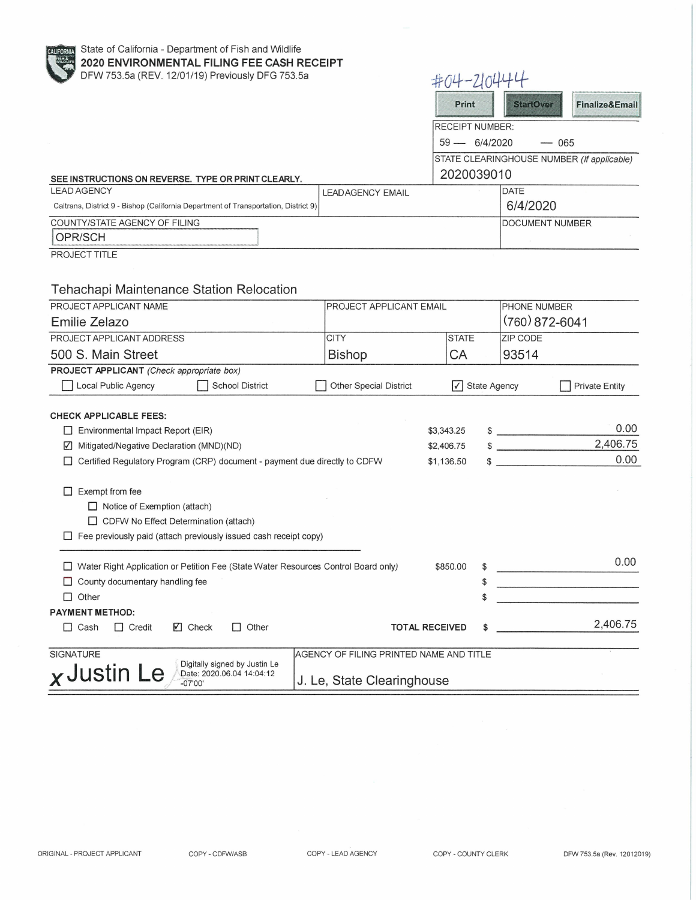State of California - Department of Fish and Wildlife **2020 ENVIRONMENTAL FILING FEE CASH RECEIPT**  DFW 753.5a (REV. 12/01/19) Previously DFG 753.5a

| DFW 753.5a (REV. 12/01/19) Previously DFG 753.5a                                     |                                         | #04-210444                                 |                     |                                                           |                           |  |
|--------------------------------------------------------------------------------------|-----------------------------------------|--------------------------------------------|---------------------|-----------------------------------------------------------|---------------------------|--|
|                                                                                      |                                         |                                            | Print               | <b>StartOver</b>                                          | <b>Finalize&amp;Email</b> |  |
|                                                                                      |                                         |                                            | RECEIPT NUMBER:     |                                                           |                           |  |
|                                                                                      |                                         | 59 - 6/4/2020<br>$- 065$                   |                     |                                                           |                           |  |
|                                                                                      |                                         | STATE CLEARINGHOUSE NUMBER (If applicable) |                     |                                                           |                           |  |
|                                                                                      | 2020039010                              |                                            |                     |                                                           |                           |  |
| SEE INSTRUCTIONS ON REVERSE. TYPE OR PRINT CLEARLY.<br><b>LEAD AGENCY</b>            | <b>LEADAGENCY EMAIL</b>                 |                                            |                     | <b>DATE</b>                                               |                           |  |
| Caltrans, District 9 - Bishop (California Department of Transportation, District 9)  |                                         |                                            |                     | 6/4/2020                                                  |                           |  |
| COUNTY/STATE AGENCY OF FILING                                                        |                                         |                                            |                     | <b>DOCUMENT NUMBER</b>                                    |                           |  |
| OPR/SCH                                                                              |                                         |                                            |                     |                                                           |                           |  |
| PROJECT TITLE                                                                        |                                         |                                            |                     |                                                           |                           |  |
|                                                                                      |                                         |                                            |                     |                                                           |                           |  |
|                                                                                      |                                         |                                            |                     |                                                           |                           |  |
| Tehachapi Maintenance Station Relocation                                             |                                         |                                            |                     |                                                           |                           |  |
| PROJECT APPLICANT NAME                                                               | PROJECT APPLICANT EMAIL                 |                                            |                     | PHONE NUMBER                                              |                           |  |
| Emilie Zelazo                                                                        |                                         |                                            |                     | $(760)$ 872-6041                                          |                           |  |
| PROJECT APPLICANT ADDRESS                                                            | <b>CITY</b>                             | <b>STATE</b>                               |                     | <b>ZIP CODE</b>                                           |                           |  |
| 500 S. Main Street                                                                   | <b>Bishop</b>                           | CA                                         |                     | 93514                                                     |                           |  |
| PROJECT APPLICANT (Check appropriate box)                                            |                                         |                                            |                     |                                                           |                           |  |
| Local Public Agency<br><b>School District</b>                                        | <b>Other Special District</b>           | ∨                                          | <b>State Agency</b> |                                                           | <b>Private Entity</b>     |  |
|                                                                                      |                                         |                                            |                     |                                                           |                           |  |
| <b>CHECK APPLICABLE FEES:</b>                                                        |                                         |                                            |                     |                                                           | 0.00                      |  |
| Environmental Impact Report (EIR)                                                    |                                         | \$3,343.25                                 |                     | $\begin{array}{c} \updownarrow \\ \downarrow \end{array}$ | 2,406.75                  |  |
| Mitigated/Negative Declaration (MND)(ND)<br>V.                                       |                                         | \$2,406.75                                 |                     | $\frac{1}{2}$                                             | 0.00                      |  |
| Certified Regulatory Program (CRP) document - payment due directly to CDFW           |                                         | \$1,136.50                                 |                     |                                                           |                           |  |
|                                                                                      |                                         |                                            |                     |                                                           |                           |  |
| Exempt from fee<br>П                                                                 |                                         |                                            |                     |                                                           |                           |  |
| $\Box$ Notice of Exemption (attach)<br>CDFW No Effect Determination (attach)         |                                         |                                            |                     |                                                           |                           |  |
| $\Box$ Fee previously paid (attach previously issued cash receipt copy)              |                                         |                                            |                     |                                                           |                           |  |
|                                                                                      |                                         |                                            |                     |                                                           |                           |  |
| □ Water Right Application or Petition Fee (State Water Resources Control Board only) |                                         | \$850.00                                   |                     |                                                           | 0.00                      |  |
| $\Box$ County documentary handling fee                                               |                                         |                                            | \$                  |                                                           |                           |  |
| $\Box$ Other                                                                         |                                         |                                            | S                   |                                                           |                           |  |
| <b>PAYMENT METHOD:</b>                                                               |                                         |                                            |                     |                                                           |                           |  |
| $\Box$ Cash<br>$\Box$ Credit<br>$\Box$ Check<br>$\Box$ Other                         | <b>TOTAL RECEIVED</b>                   |                                            | \$                  |                                                           | 2,406.75                  |  |
|                                                                                      |                                         |                                            |                     |                                                           |                           |  |
| SIGNATURE                                                                            | AGENCY OF FILING PRINTED NAME AND TITLE |                                            |                     |                                                           |                           |  |
| Digitally signed by Justin Le<br>x Justin Le<br>Date: 2020.06.04 14:04:12            |                                         |                                            |                     |                                                           |                           |  |
| $-07'00'$                                                                            | J. Le, State Clearinghouse              |                                            |                     |                                                           |                           |  |